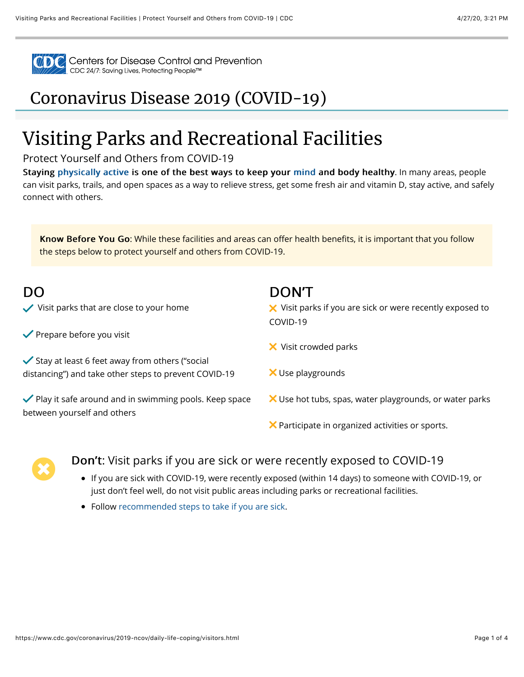

Centers for Disease Control and Prevention<br>CDC 24/7: Saving Lives, Protecting People™

## [Coronavirus Disease 2019 \(COVID-19\)](https://www.cdc.gov/coronavirus/2019-nCoV/index.html)

# Visiting Parks and Recreational Facilities

### Protect Yourself and Others from COVID-19

Staying [physically active](https://www.cdc.gov/physicalactivity/index.html) is one of the best ways to keep your [mind](https://www.cdc.gov/coronavirus/2019-ncov/daily-life-coping/managing-stress-anxiety.html) and body healthy. In many areas, people can visit parks, trails, and open spaces as a way to relieve stress, get some fresh air and vitamin D, stay active, and safely connect with others.

Know Before You Go: While these facilities and areas can offer health benefits, it is important that you follow the steps below to protect yourself and others from COVID-19.

| DO<br>Visit parks that are close to your home                                                                        | <b>DON'T</b><br>$\boldsymbol{\times}$ Visit parks if you are sick or were recently exposed to |
|----------------------------------------------------------------------------------------------------------------------|-----------------------------------------------------------------------------------------------|
| $\blacktriangleright$ Prepare before you visit                                                                       | COVID-19                                                                                      |
|                                                                                                                      | X Visit crowded parks                                                                         |
| $\checkmark$ Stay at least 6 feet away from others ("social<br>distancing") and take other steps to prevent COVID-19 | X Use playgrounds                                                                             |
| ◆ Play it safe around and in swimming pools. Keep space<br>between yourself and others                               | X Use hot tubs, spas, water playgrounds, or water parks                                       |
|                                                                                                                      | X Participate in organized activities or sports.                                              |



## **Don't:** Visit parks if you are sick or were recently exposed to COVID-19

- If you are sick with COVID-19, were recently exposed (within 14 days) to someone with COVID-19, or just don't feel well, do not visit public areas including parks or recreational facilities.
- Follow [recommended steps to take if you are sick](https://www.cdc.gov/coronavirus/2019-ncov/if-you-are-sick/steps-when-sick.html).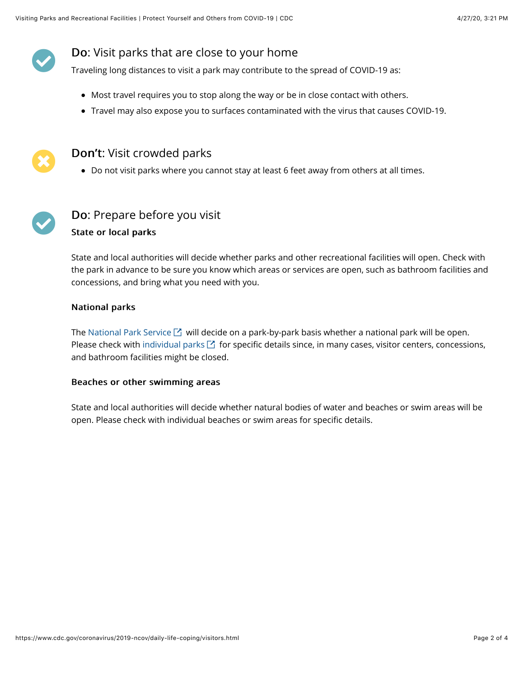## **Do:** Visit parks that are close to your home

Traveling long distances to visit a park may contribute to the spread of COVID-19 as:

- Most travel requires you to stop along the way or be in close contact with others.
- Travel may also expose you to surfaces contaminated with the virus that causes COVID-19.



#### Don't: Visit crowded parks

Do not visit parks where you cannot stay at least 6 feet away from others at all times.



## Do: Prepare before you visit

#### State or local parks

State and local authorities will decide whether parks and other recreational facilities will open. Check with the park in advance to be sure you know which areas or services are open, such as bathroom facilities and concessions, and bring what you need with you.

#### **National parks**

The [National Park Service](https://www.nps.gov/index.htm)  $\boxtimes$  will decide on a park-by-park basis whether a national park will be open. Please check with [individual parks](https://www.nps.gov/findapark/index.htm)  $\boxtimes$  for specific details since, in many cases, visitor centers, concessions, and bathroom facilities might be closed.

#### Beaches or other swimming areas

State and local authorities will decide whether natural bodies of water and beaches or swim areas will be open. Please check with individual beaches or swim areas for specific details.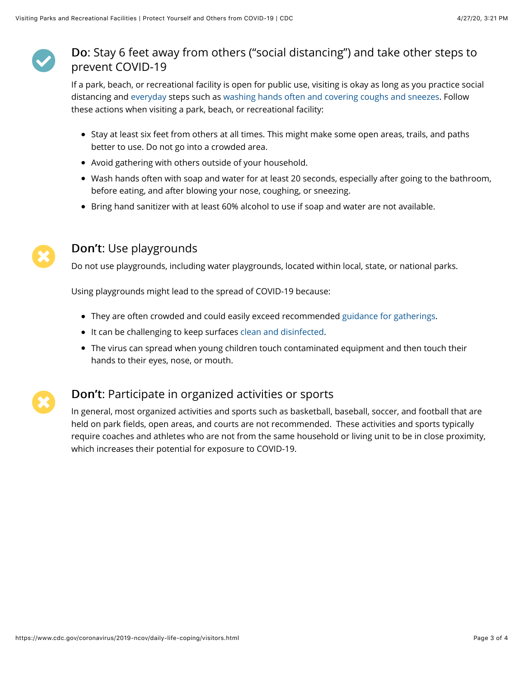

## Do: Stay 6 feet away from others ("social distancing") and take other steps to prevent COVID-19

If a park, beach, or recreational facility is open for public use, visiting is okay as long as you practice social distancing and [everyday](https://www.cdc.gov/coronavirus/2019-ncov/prevent-getting-sick/index.html) steps such as [washing hands often and covering coughs and sneezes.](https://www.cdc.gov/coronavirus/2019-ncov/prevent-getting-sick/prevention.html) Follow these actions when visiting a park, beach, or recreational facility:

- Stay at least six feet from others at all times. This might make some open areas, trails, and paths better to use. Do not go into a crowded area.
- Avoid gathering with others outside of your household.
- Wash hands often with soap and water for at least 20 seconds, especially after going to the bathroom, before eating, and after blowing your nose, coughing, or sneezing.
- **•** Bring hand sanitizer with at least 60% alcohol to use if soap and water are not available.



## Don't: Use playgrounds

Do not use playgrounds, including water playgrounds, located within local, state, or national parks.

Using playgrounds might lead to the spread of COVID-19 because:

- They are often crowded and could easily exceed recommended [guidance for gatherings.](https://www.cdc.gov/coronavirus/2019-ncov/community/large-events/index.html)
- It can be challenging to keep surfaces [clean and disinfected.](https://www.cdc.gov/coronavirus/2019-ncov/prevent-getting-sick/disinfecting-your-home.html)
- The virus can spread when young children touch contaminated equipment and then touch their hands to their eyes, nose, or mouth.



## Don't: Participate in organized activities or sports

In general, most organized activities and sports such as basketball, baseball, soccer, and football that are held on park fields, open areas, and courts are not recommended. These activities and sports typically require coaches and athletes who are not from the same household or living unit to be in close proximity, which increases their potential for exposure to COVID-19.